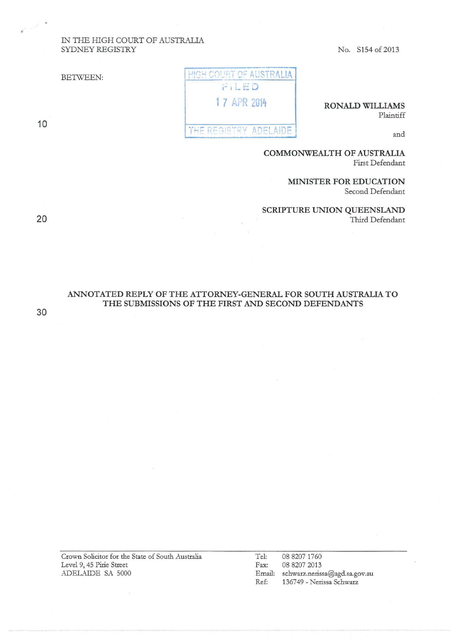# IN THE HIGH COURT OF AUSTRALIA SYDNEY REGISTRY No. S154 of 2013

| HIGH COURT OF AUSTRALIA |
|-------------------------|
| FIE                     |
| 17 APR 2014             |
|                         |

THE REGISTRY ADELAIDE

RONALD WILLIAMS Plaintiff

and

COMMONWEALTH OF AUSTRALIA First Defendant

> MINISTER FOR EDUCATION Second Defendant

SCRIPTURE UNION QUEENSLAND

Third Defendant

20

10

 $\sim$ 

BETWEEN:

ANNOTATED REPLY OF THE ATTORNEY-GENERAL FOR SOUTH AUSTRALIA TO THE SUBMISSIONS OF THE FIRST AND SECOND DEFENDANTS

30

Crown Solicitor for the State of South Australia Level 9, 45 Pirie Street .ADELAIDE SA 5000 Tel: 08 8207 1760 Fax: 08 8207 2013 Email: schwarz.nerissa@agd.sa.gov.au Ref: 136749- Nerissa Schwarz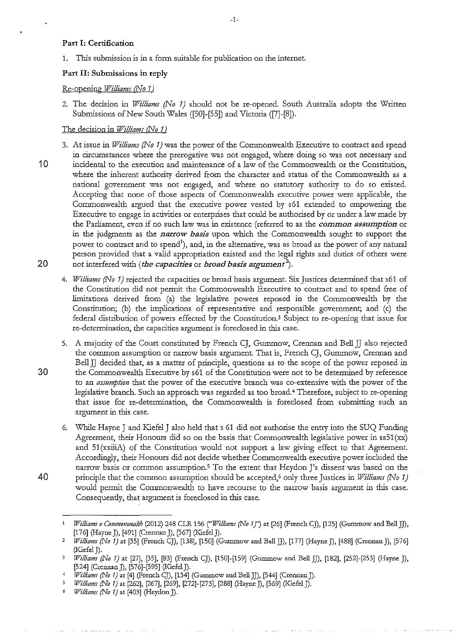### Part I: Certification

1. This submission is in a form suitable for publication on the internet.

# Part II: Submissions in reply

# Re-opening *Williams (No 1)*

2. The decision in *Williams (No 1)* should not be re-opened. South Australia adopts the Written Submissions of New South Wales ([50]-[55]) and Victoria ([7]-[8]).

# The decision in *Williams (No 1 )*

- 3. At issue in *Williams (No 1)* was the power of the Commonwealth Executive to contract and spend in circumstances where the prerogative was not engaged, where doing so was not necessary and 10 incidental to the execution and maintenance of a law of the Commonwealth or the Constitution, where the inherent authority derived from the character and status of the Commonwealth as a national government was not engaged, and where no statutory authority to do so existed. Accepting that none of those aspects of Commonwealth executive power were applicable, the Commonwealth argued that the executive power vested by s61 extended to empowering the Executive to engage in activities or enterprises that could be authorised by or under a law made by the Parliament, even if no such law was in existence (referred to as the *common assumption* or in the judgments as the *narrow basis* upon which the Commonwealth sought to support the power to contract and to spend<sup>1</sup>), and, in the alternative, was as broad as the power of any natural person provided that a valid appropriation existed and the legal rights and duties of others were 20 not interfered with *(the capacities* or *broad basis argument <sup>2</sup> ).* 
	- 4. *Williams (No 1)* rejected the capacities or broad basis argument. Six Justices determined that s61 of the Constitution did not permit the Commonwealth Executive to contract and to spend free of limitations derived from (a) the legislative powers reposed in the Commonwealth by the Constitution; (b) the implications of representative and responsible government; and (c) the federal distribution of powers effected by the Constitution.' Subject to re-opening that issue for re-determination, the capacities argument is foreclosed in this case.
	- 5. A majority of the Court constituted by French CJ, Gummow, Crennan and Bell JJ also rejected the common assumption or narrow basis argument. That is, French CJ, Gurnmow, Crennan and Bell JJ decided that, as a matter of principle, questions as to the scope of the power reposed in
- 30 the Commonwealth Executive by s61 of the Constitution were not to be determined by reference to an *assumption* that the power of the executive branch was co-extensive with the power of the legislative branch. Such an approach was regarded as too broad. 4 Therefore, subject to re-opening that issue for re-determination, the Commonwealth is foreclosed from submitting such an argument in this case.
- 6. While Hayne J and Kiefel J also held that s 61 did not authorise the entry into the SUQ Funding Agreement, their Honours did so on the basis that Commonwealth legislative power in  $ss51(xx)$ and 51 (xxiiiA) of the Constitution would not support a law giving effect to that Agreement. Accordingly, their Honours did not decide whether Commonwealth executive power included the narrow basis or common assumption.<sup>5</sup> To the extent that Heydon J's dissent was based on the 40 principle that the common assumption should be accepted,6 only three Justices in *Williams (No 1)* 
	- would permit the Commonwealth to have recourse to the narrow basis argument in this case. Consequendy, that argument is foreclosed in this case.

6 *Williams (No 1)* at [403] (Heydon J).

*Williams v Commomvealth* (2012) 248 CLR 156 *("Williams (No 1)")* at [26] (French CJ), [125] (Gummow and BellJJ),

<sup>[176] (</sup>Hayne J), [491] (Crennan J), [567] (Kiefel J).<br>*Williams (No 1)* at [35] (French CJ), [138], [150] (Gummow and Bell JJ), [177] (Hayne J), [488] (Crennan J), [576] (Kiefel J).

*Williams (No 1)* at [27], [35], [83] (French CJ), [150]-[159] (Gummow and Bell JJ), [182], [252]-[253] (Hayne J), [524] (CrennanJ), [576]-[595] (Kiefe!J).

<sup>4</sup> *Williams (No 1)* at [4] (French CJ), [134] (Gummow and Bell JJ), [544] (Crennan J).

*<sup>!</sup>Pilliams (No 1)* at [262], [267], [269], [272]-[273], [288] (Hayne J), [569] (Kiefel J).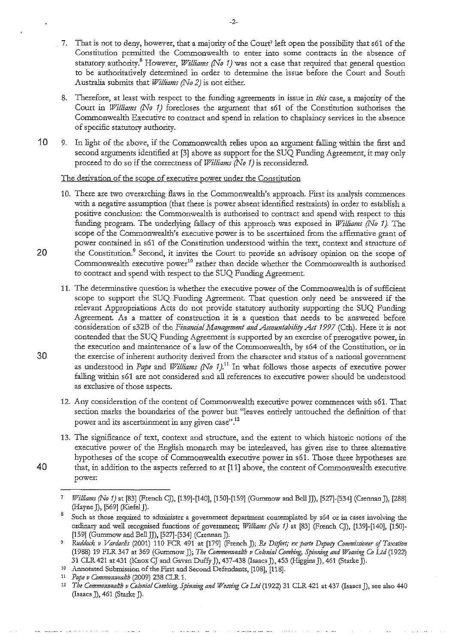- That is not to deny, however, that a majority of the Court<sup>7</sup> left open the possibility that s61 of the Constitution permitted the Commonwealth to enter into some contracts in the absence of statutory authority.' However, *Williams (No 1)* was not a case that required that general question to be authoritatively determined in order to determine the issue before the Court and South Australia submits that *Williams (No 2)* is not either.
- 8. Therefore, at least with respect to the funding agreements in issue in *tbis* case, a majority of the Court in *Williams (No 1)* forecloses the argument that s61 of the Constitution authorises the Commonwealth Executive to contract and spend in relation to chaplaincy services in the absence of specific statutory authority.
- 10 9. In light of the above, if the Commonwealth relies upon an argument falling within the first and second arguments identified at [3] above as support for the SUQ Funding Agreement, it may only proceed to do so if the correctness of *Williams (No 1)* is reconsidered.

### The derivation of the scope of executive power under the Constitution

- 10. There are two overarching flaws in the Commonwealth's approach. First its analysis commences with a negative assumption (that there is power absent identified restraints) in order to establish a positive conclusion: the Commonwealth is authorised to contract and spend with respect to this funding program. The underlying fallacy of this approach was exposed in *Williams (No 1).* The scope of the Commonwealth's executive power is to be ascertained from the affirmative grant of power contained in s61 of the Constitution understood within the text, context and structure of 20 the Constitution.<sup>9</sup> Second, it invites the Court to provide an advisory opinion on the scope of Commonwealth executive power<sup>10</sup> rather than decide whether the Commonwealth is authorised to contract and spend with respect to the SUQ Funding Agreement.
- 11. The determinative question is whether the executive power of the Commonwealth is of sufficient scope to support the SUQ Funding Agreement. That question only need be answered if the relevant Appropriations Acts do not provide statutory authority supporting the SUQ Funding Agreement. As a matter of construction it is a question that needs to be answered before consideration of s32B of the *Financial Management and Accountability Act 1997* (Cth). Here it is not contended that the SUQ Funding Agreement is supported by an exercise of prerogative power, in the execution and maintenance of a law of the Commonwealth, by s64 of the Constitution, or in 30 the exercise of inherent authority derived from the character and status of a national government
	- as understood in *Pape* and *Williams* (No 1).<sup>11</sup> In what follows those aspects of executive power falling within s61 are not considered and all references to executive power should be understood as exclusive of those aspects.
		- 12. Any consideration of the content of Commonwealth executive power commences with s61. That section marks the boundaries of the power but "leaves entirely untouched the definition of that **power and its ascertainment in any given case".<sup>12</sup>**
- 13. The significance of text, context and structure, and the extent to which historic notions of the executive power of the English monarch may be interleaved, has given rise to three alternative hypotheses of the scope of Commonwealth executive power in s61. Those three hypotheses are 40 that, in addition to the aspects referred to at [11] above, the content of Commonwealth executive power:

<sup>7</sup>  *Williams (No 1)* at [83] (French CJ), [139]-[140], [150]-[159] (Gummow and BellJJ), [527]-[534] (CrennanJ), [288] (Hayne J), [569] (Kiefel J).

<sup>8</sup>  **Such as those required to administer a government department contemplated by s64 or in cases involving the**  ordinary and well recognised functions of government; *Williams (No 1)* at [83] (French CJ), [139]-[140], [150]- [159] (Gummow and Bell JJ), [527]-[534] (Crennan J).

*Ruddock v Vardar/is* (2001) 110 FCR 491 at [179] (French J); fu *Ditfozt; ex pazte Deputy Commissiozzer of Taxation*  (1988) 19 FLR 347 at 369 (Gummow J); *The Commonzvealth v Colonial Combing, Spinning and Weaving Co Ud* (1922) 31 CLR421 at 431 (Knox CJ and Gavan Duffy]), 437-438 (Isaacs J), 453 (Higgins J), 461 (Starke J).

Annotated Submission of the First and Second Defendants, [108], [118].

<sup>11</sup>*Pape v Commomvealth* (2009) 238 CLR 1.

<sup>12</sup>*The Commonzvealth v Colonial Combing, Spizmizzg and Weaving Co Ltd* (1922) 31 CLR 421 at 437 (Isaacs J), see also 440 (Isaacs J), 461 (Starke J).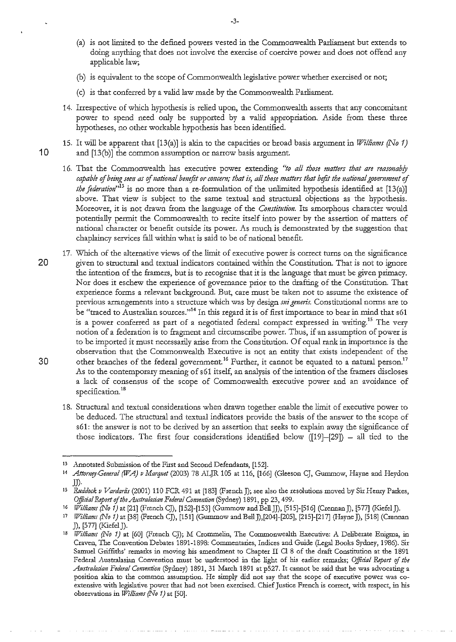- (a) is not limited to the defined powers vested in the Commonwealth Parliament but extends to doing anything that does not involve the exercise of coercive power and does not offend any applicable law;
- (b) is equivalent to the scope of Commonwealth legislative power whether exercised or not;
- (c) is that conferred by a valid law made by the Commonwealth Parliament.
- 14. Irrespective of which hypothesis is relied upon, the Commonwealth asserts that any concomitant power to spend need only be supported by a valid appropriation. Aside from these three hypotheses, no other workable hypothesis has been identified.
- 15. It will be apparent that  $[13(a)]$  is akin to the capacities or broad basis argument in *Williams (No 1)* **10** and [13(b)] the common assumption or narrow basis argument.
	- 16. That the Commonwealth has executive power extending "to all those matters that are reasonably *capable of being seen as of national benefit or concern; that is, all those matters that befit the national government of the federation*<sup>213</sup> is no more than a re-formulation of the unlimited hypothesis identified at [13(a)] above. That view is subject to the same textual and structural objections as the hypothesis. Moreover, it is not drawn from the language of the *Constitution.* Its amorphous character would potentially permit the Commonwealth to recite itself into power by the assertion of matters of national character or benefit outside its power. As much is demonstrated by the suggestion that chaplaincy services fall within what is said to be of national benefit.
- 17. Which of the alternative views of the limit of executive power is correct turns on the significance **20** given to structural and textual indicators contained within the Constitution. That is not to ignore the intention of the framers, but is to recognise that it is the language that must be given primacy. Nor does it eschew the experience of governance prior to the drafting of the Constitution. That experience forms a relevant background. But, care must be taken not to assume the existence of previous arrangements into a structure which was by design *sui getmis.* Constitutional norms are to be "traced to Australian sources."<sup>14</sup> In this regard it is of first importance to bear in mind that s61 is a power conferred as part of a negotiated federal compact expressed in writing.<sup>15</sup> The very notion of a federation is to fragment and circumscribe power. Thus, if an assumption of power is to be imported it must necessarily arise from the Constitution. Of equal rank in importance is the observation that the Commonwealth Executive is not an entity that exists independent of the 30 other branches of the federal government.<sup>16</sup> Further, it cannot be equated to a natural person.<sup>17</sup>
	- As to the contemporary meaning of s61 itself, an analysis of the intention of the framers discloses a lack of consensus of the scope of Commonwealth executive power and an avoidance of specification.<sup>18</sup>
		- 18. Structural and textual considerations when drawn together enable the limit of executive power to be deduced. The structural and textual indicators provide the basis of the answer to the scope of s61: the answer is not to be derived by an assertion that seeks to explain away the significance of those indicators. The first four considerations identified below ( $[19]$ – $[29]$ ) – all tied to the

<sup>13</sup> Annotated Submission of the First and Second Defendants, [152].

<sup>14</sup>*Attomey.Ceneral (W A) v Marque/* (2003) 78 .ALJR 105 at 116, [166] (Gleeson CJ, Gurnmow, Hayne and Heydon JJ).

<sup>&</sup>lt;sup>15</sup> Ruddock v Vardarlis (2001) 110 FCR 491 at [183] (French J); see also the resolutions moved by Sir Henry Parkes, *Official Report of the Australasian Federal Convention* (Sydney) 1891, pp 23, 499.<br><sup>16</sup> *Williams (No 1)* at [21] (French CJ), [152]-[153] (Gummow and Bell JJ), [515]-[516] (Crennan J), [577] (Kiefel J).

<sup>17</sup>*Williams (No 1)* at [38] (French CJ), [151] (Gurnmow andBellJ),[204]-[205], [215]-[217] (Hayne]), [518] (Crennan

*<sup>]),</sup>* [577] (KiefelJ). 1' *Williams (No* 1) at [60] (French CJ); M Crommelin, The Commonwealth Executive: A Deliberate Enigma, in Craven, The Convention Debates 1891-1898: Commentaries, Indices and Guide (Legal Books Sydney, 1986). Sir Samuel Griffiths' remarks in moving his amendment to Chapter II Cl 8 of the draft Constitution at the 1891 **Federal Australasian Convention must be understood in the light of his earlier remarks;** *Official &port of the Austrahsian Federal Convention* (Sydney) 1891, 31 March 1891 at p527. It cannot be said that he was advocating a **position akin to the common assumption. He simply did not say that the scope of executive power was coextensive with legislative power that had not been exercised. Chief Justice French is correct, with respect, in his**  observations in *Williams* (No 1) at [50].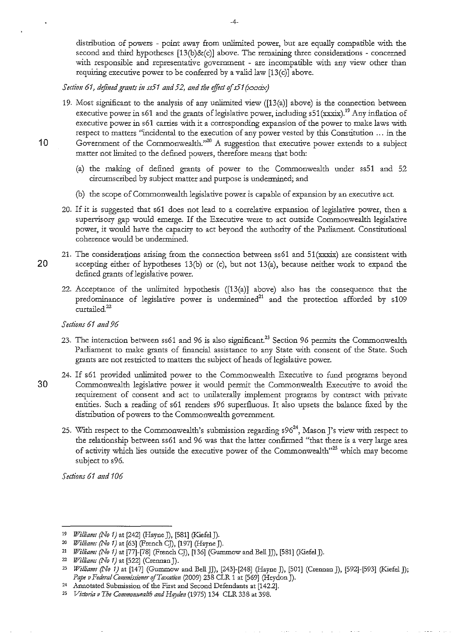distribution of powers - point away from unlimited power, but are equally compatible with the second and third hypotheses  $[13(b) \& c]$  above. The remaining three considerations - concerned with responsible and representative government - are incompatible with any view other than requiring executive power to be conferred by a valid law [13(c)] above.

*Section 61, defined grants in ss51 and 52, and the effect of s51 (xxxix)* 

- 19. Most significant to the analysis of any unlimited view  $(13(a))$  above) is the connection between executive power in s61 and the grants of legislative power, including  $s51(xxxix)$ <sup>19</sup> Any inflation of executive power in s61 carries with it a corresponding expansion of the power to make laws with respect to matters "incidental to the execution of any power vested by this Constitution ... in the
- 10 Government of the Commonwealth."<sup>20</sup> A suggestion that executive power extends to a subject matter not limited to the defined powers, therefore means that both:
	- (a) the making of defined grants of power to the Commonwealth under ss51 and 52 circumscribed by subject matter and purpose is undermined; and
	- (b) the scope of Commonwealth legislative power is capable of expansion by an executive act
	- 20. If it is suggested that s61 does not lead to a correlative expansion of legislative power, then a supervisory gap would emerge. If the Executive were to act outside Commonwealth legislative power, it would have the capacity to act beyond the authority of the Parliament. Constitutional coherence would be undermined.
- 21. The considerations arising from the connection between ss61 and  $51(xxxix)$  are consistent with 20 accepting either of hypotheses 13(b) or (c), but not 13(a), because neither work to expand the defined grants of legislative power.
	- 22. Acceptance of the unlimited hypothesis  $([13(a)]$  above) also has the consequence that the predominance of legislative power is undermined $21$  and the protection afforded by s109 curtailed.<sup>22</sup>

*Sections 61 and 96* 

- 23. The interaction between ss61 and 96 is also significant.<sup>23</sup> Section 96 permits the Commonwealth Parliament to make grants of financial assistance to any State with consent of the State. Such grants are not restricted to matters the subject of heads of legislative power.
- 24. If s61 provided unlimited power to the Commonwealth Executive to fund programs beyond 30 Commonwealth legislative power it would permit the Commonwealth Executive to avoid the requirement of consent and act to unilaterally implement programs by contract with private entities. Such a reading of s61 renders s96 superfluous. It also upsets the balance fixed by the distribution of powers to the Commonwealth government.
	- 25. With respect to the Commonwealth's submission regarding  $s96<sup>24</sup>$ , Mason J's view with respect to the relationship between ss61 and 96 was that the latter confirmed "that there is a very large area of activity which lies outside the executive power of the Commonwealth<sup>325</sup> which may become subject to s96.

*Sections 61 and 106* 

-4-

<sup>19</sup>*Williams (No 1)* at [242] (Hayne]), [581] (KiefelJ).

<sup>&</sup>lt;sup>20</sup> *Williams (No 1)* at [63] (French CJ), [197] (Hayne J).<br><sup>21</sup> *Williams (No 1)* at [77]-[78] (French CJ), [136] (Gummow and Bell JJ), [581] (Kiefel J).

<sup>22</sup>*Williams (No 1)* at [522] (CrennanJ). 23 *Williams (No 1)* at [147] (Gummow and Bell JJ), [243]-[248] (Hayne J), [501] (Crennan J), [592]-[593] (Kiefel J); *Pape v Federal Commissiomr ofT axation* (2009) 238 CLR 1 at [569] (Heydon J). 24 **.Annotated Submission of the First and Second Defendants at [142.2].** 

<sup>23</sup> *Victoria v The Commomvealth and Hqyden* (1975) 134 CLR 338 at 398.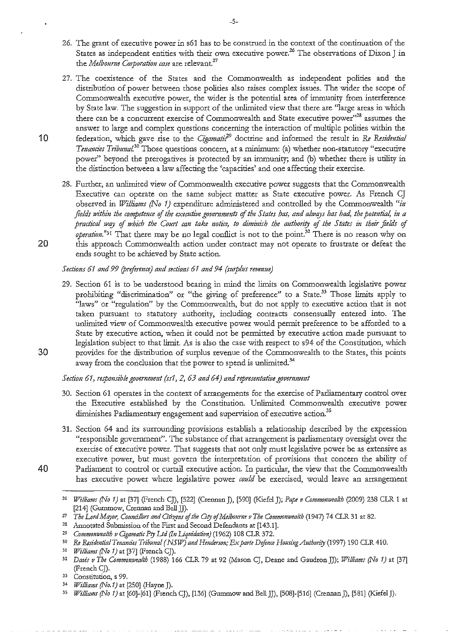- 26. The grant of executive power in s61 has to be construed in the context of the continuation of the States as independent entities with their own executive power.<sup>26</sup> The observations of Dixon J in the *Melboume Corporation case* are relevant.<sup>27</sup>
- 27. The coexistence of the States and the Commonwealth as independent polities and the distribution of power between those polities also raises complex issues. The wider the scope of Commonwealth executive power, the wider is the potential area of immunity from interference by State law. The suggestion in support of the unlimited view that there are "large areas in which there can be a concurrent exercise of Commonwealth and State executive power"<sup>28</sup> assumes the answer to large and complex questions concerning the interaction of multiple polities within the 10 federation, which gave rise to the *Cigamati?'* doctrine and informed the result in *Re Residmtial Tenancies Tribunal*<sup>30</sup> Those questions concern, at a minimum: (a) whether non-statutory "executive power" beyond the prerogatives is protected by an immunity; and (b) whether there is utility in the distinction between a law affecting the 'capacities' and one affecting their exercise.
- 28. Further, an unlimited view of Commonwealth executive power suggests that the Commonwealth Executive can operate on the same subject matter as State executive power. As French CJ observed in *Williams (No 1)* expenditure administered and controlled by the Commonwealth *"in fields within the competmce* !if *the executive govemmmts* !if *the S fates has, and ahvqys has had, the potential, in a*  practical way of which the Court can take notice, to diminish the authority of the States in their fields of *operation*."<sup>31</sup> That there may be no legal conflict is not to the point.<sup>32</sup> There is no reason why on 20 this approach Commonwealth action under contract may not operate to frustrate or defeat the ends sought to be achieved by State action.

### *Sections 61 and 99 (preference) and sections 61 and 94 (surplus revenue)*

29. Section 61 is to be understood beating in mind the limits on Commonwealth legislative power prohibiting "discrimination" or "the giving of preference" to a State.<sup>33</sup> Those limits apply to "laws" or "regulation" by the Commonwealth, but do not apply to executive action that is not taken pursuant to statutory authority, including contracts consensually entered into. The unlimited view of Commonwealth executive power would permit preference to be afforded to a State by executive action, when it could not be permitted by executive action made pursuant to legislation subject to that limit. As is also the case with respect to s94 of the Constitution, which 30 provides for the distribution of sutplus revenue of the Commonwealth to the States, this points away from the conclusion that the power to spend is unlimited.<sup>34</sup>

#### *Section* 61, 1~sponsible *government (sst,* 2, 63 *and* 64) *and represmtative governmmt*

- 30. Section 61 operates in the context of arrangements for the exercise of Parliamentary control over the Executive established by the Constitution. Unlimited Commonwealth executive power diminishes Parliamentary engagement and supervision of executive action.<sup>35</sup>
- 31. Section 64 and its surrounding provisions establish a relationship described by the expression "responsible government". The substance of that arrangement is parliamentary oversight over the exercise of executive power. That suggests that not only must legislative power be as extensive as executive power, but must govern the interpretation of provisions that concern the ability of 40 Parliament to control or curtail executive action. In particular, the view that the Commonwealth
	- has executive power where legislative power *could* be exercised, would leave an arrangement

- 28 .Annotated Submission of the Fixst and Second Defendants at [143.1]. 29 *Commonwealth v Cigamatic Pty Ltd (In liquidation)* (1962) 108 CLR 372.
- 

3<sup>3</sup>*Williams (No 1)* at [60]-[61] (French CJ), [136] (Gummow and BellJJ), [508]-[516] (CrennanJ), [581] (KiefelJ).

<sup>26</sup>*Williams (No 1)* at [37] (French CJ), [522] (Crennan J), [590] (Kiefel J); *Pape v Comn101twealth* (2009) 238 CLR 1 at [214] (Gummow, Crennan and Bell JJ).

<sup>27</sup>*The L!rdMC!Jor, Cotmcillors and Citizens* of *the City* of *Melbourne v The Commonwealth* (1947) 74 CLR 31 at 82.

<sup>&</sup>lt;sup>30</sup> Re Residential Tenancies Tribunal (NSW) and Henderson; Ex parte Defence Housing Authority (1997) 190 CLR 410.<br><sup>31</sup> *Williams (No 1)* at [37] (French CJ).

<sup>32</sup>*Davis v The Commomvealth* (1988) 166 CLR 79 at 92 (Mason CJ, Deane and Gaudron JJ); *Williams (No 1)* at [37] (French CJ).

**<sup>33</sup> Constitution, s** 99.

<sup>34</sup>*Williams (No.1)* at [250] (Hayne J).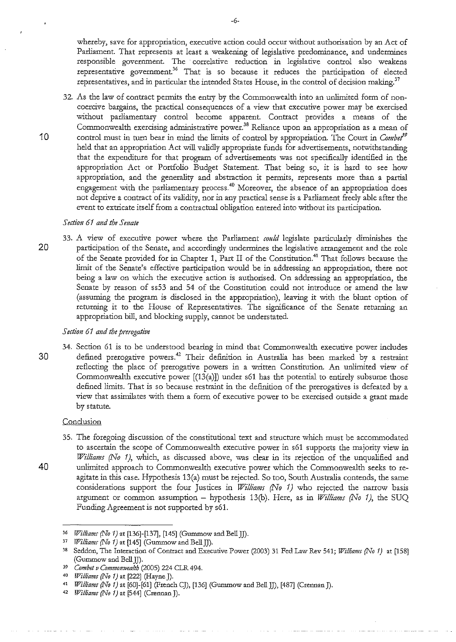whereby, save for appropriation, executive action could occur without authorisation by an Act of Parliament. That represents at least a weakening of legislative predominance, and undermines responsible government. The correlative reduction in legislative control also weakens representative government.<sup>36</sup> That is so because it reduces the participation of elected representatives, and in particular the intended States House, in the control of decision making.<sup>37</sup>

32. As the law of contract permits the entry by the Commonwealth into an unlimited form of noncoercive bargains, the practical consequences of a view that executive power may be exercised without parliamentary control become apparent. Contract provides a means of the Commonwealth exercising administrative power.<sup>38</sup> Reliance upon an appropriation as a mean of 10 control must in turn bear in mind the limits of control by appropriation. The Court in *Combet*<sup>39</sup> held that an appropriation Act will validly appropriate funds for advertisements, notwithstanding that the expenditure for that program of advertisements was not specifically identified in the appropriation Act or Portfolio Budget Statement. That being so, it is hard to see how appropriation, and the generality and abstraction it permits, represents more than a partial engagement with the parliamentary process. 40 Moreover, the absence of an appropriation does not deprive a contract of its validity, nor in any practical sense is a Parliament freely able after the event to extricate itself from a contractual obligation entered into without its participation.

### *Section 61 and the Senate*

33. A view of executive power where the Parliament *could* legislate particularly diminishes the 20 participation of the Senate, and accordingly undermines the legislative arrangement and the role of the Senate provided for in Chapter 1, Part II of the Constitution.<sup>41</sup> That follows because the limit of the Senate's effective participation would be in addressing an appropriation, there not being a law on which the executive action is authorised. On addressing an appropriation, the Senate by reason of ss53 and 54 of the Constitution could not introduce or amend the law (assuming the program is disclosed in the appropriation), leaving it with the blunt option of returning it to the House of Representatives. The significance of the Senate returning an appropriation bill, and blocking supply, cannot be understated.

#### *Section 61 and the prerogative*

34. Section 61 is to be understood bearing in mind that Commonwealth executive power includes 30 defined prerogative powers.<sup>42</sup> Their definition in Australia has been marked by a restraint reflecting the place of prerogative powers in a written Constitution. An unlimited view of Commonwealth executive power  $[(13(a))]$  under s61 has the potential to entirely subsume those defined limits. That is so because restraint in the definition of the prerogatives is defeated by a view that assimilates with them a form of executive power to be exercised outside a grant made by statute.

### **Conclusion**

35. The foregoing discussion of the constitutional text and structure which must be accommodated to ascertain the scope of Commonwealth executive power in s61 supports the majority view in *Williams (No 1),* which, as discussed above, was clear in its rejection of the unqualified and 40 unlimited approach to Commonwealth executive power which the Commonwealth seeks to reagitate in this case. Hypothesis 13(a) must be rejected. So too, South Australia contends, the same considerations support the four Justices in *Williams (No 1)* who rejected the narrow basis argument or common assumption – hypothesis 13(b). Here, as in *Williams (No 1)*, the SUQ Funding Agreement is not supported by s61.

<sup>36</sup>*Williams (No 1)* at [136]-[137], [145] (Gurnmow and BellJD.

<sup>37</sup>*Williams (No 1)* at[145] (Gurnmow and BellJJ). 38 Seddon, The Interaction of Contract and Executive Power (2003) 31 Fed Law *Rev* 541; *Williams (No 1)* at [158] (Gurnmow and Bell JJ).

<sup>&</sup>quot; *Combet v Commomvealth* (2005) 224 CLR 494.

<sup>40</sup>*Williams (No 1)* at (222] (Hayne J). 41 *Williams (No 1)* at [60]-[61] (French CJ), [136] (Gurnmow and Bell JJ), [487] (Crennan J).

<sup>42</sup> *Williams (No 1)* at [544] (CrennanJ).